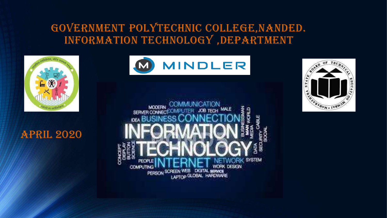### GOVERNMENT POLYTECHNIC COLLEGE,NANDED. INFORMATION TECHNOLOGY ,DEPARTMENT



#### April 2020





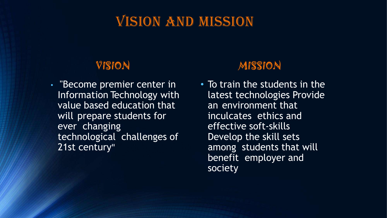# VISION AND MISSION

#### VISION

• "Become premier center in Information Technology with value based education that will prepare students for ever changing technological challenges of 21st century"

### MISSION

• To train the students in the latest technologies Provide an environment that inculcates ethics and effective soft-skills Develop the skill sets among students that will benefit employer and society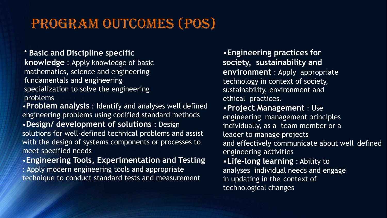# PROGRAM OUTCOMES (POS)

#### \* **Basic and Discipline specific**

**knowledge** : Apply knowledge of basic mathematics, science and engineering fundamentals and engineering specialization to solve the engineering problems

•**Problem analysis** : Identify and analyses well defined engineering problems using codified standard methods •**Design/ development of solutions** : Design solutions for well-defined technical problems and assist with the design of systems components or processes to meet specified needs

•**Engineering Tools, Experimentation and Testing** 

: Apply modern engineering tools and appropriate technique to conduct standard tests and measurement

•**Engineering practices for society, sustainability and environment** : Apply appropriate technology in context of society, sustainability, environment and ethical practices.

•**Project Management** : Use engineering management principles individually, as a team member or a leader to manage projects and effectively communicate about well defined engineering activities

•**Life-long learning** : Ability to analyses individual needs and engage in updating in the context of technological changes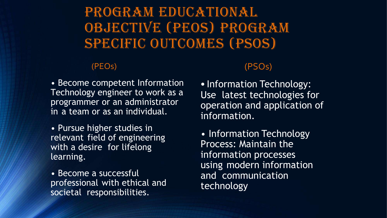# PROGRAM EDUCATIONAL OBJECTIVE (PEOS) PROGRAM SPECIFIC OUTCOMES (PSOS)

#### (PEOs)

• Become competent Information Technology engineer to work as a programmer or an administrator in a team or as an individual.

• Pursue higher studies in relevant field of engineering with a desire for lifelong learning.

• Become a successful professional with ethical and societal responsibilities.

#### (PSOs)

• Information Technology: Use latest technologies for operation and application of information.

• Information Technology Process: Maintain the information processes using modern information and communication technology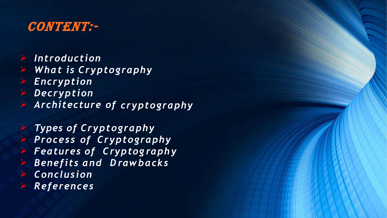

- ➢ *Introduction*
- ➢ *What is Cryptography*
- ➢ *Encryption*
- ➢ *Decryption*
- ➢ *Architecture of cryptography*

*Types of Cryptography Process of Cryptography Features of Cryptog raph y D rawbacks Benefits and*  ➢ ➢ ➢ ➢ ➢ ➢ *Conclusion References*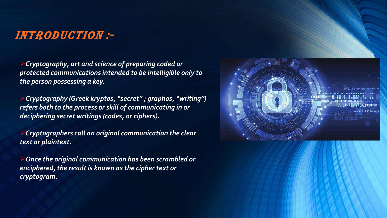#### Introduction :-

➢*Cryptography, art and science of preparing coded or protected communications intended to be intelligible only to the person possessing a key.*

➢*Cryptography (Greek kryptos, "secret" ; graphos, "writing") refers both to the process or skill of communicating in or deciphering secret writings (codes, or ciphers).*

➢*Cryptographers call an original communication the clear text or plaintext.*

➢*Once the original communication has been scrambled or enciphered, the result is known as the cipher text or cryptogram.*

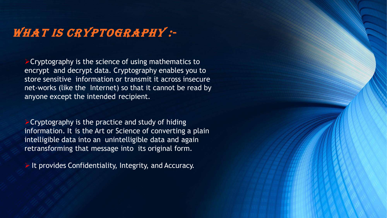## WHAT IS CRYPTOGRAPHY :-

 $\triangleright$  Cryptography is the science of using mathematics to encrypt and decrypt data. Cryptography enables you to store sensitive information or transmit it across insecure net-works (like the Internet) so that it cannot be read by anyone except the intended recipient.

 $\triangleright$  Cryptography is the practice and study of hiding information. It is the Art or Science of converting a plain intelligible data into an unintelligible data and again retransforming that message into its original form.

➢ It provides Confidentiality, Integrity, and Accuracy.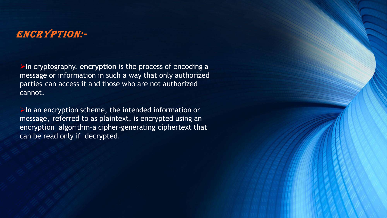#### Encryption:-

➢In cryptography, **encryption** is the process of encoding a message or information in such a way that only authorized parties can access it and those who are not authorized cannot.

 $\triangleright$ In an encryption scheme, the intended information or message, referred to as plaintext, is encrypted using an encryption algorithm–a cipher–generating ciphertext that can be read only if decrypted.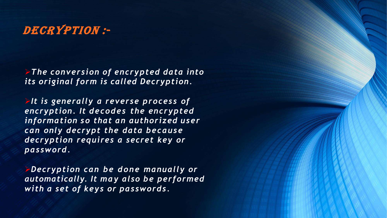### DECRYPTION :-

➢*The conversion of encrypted data into its original form is called Decryption.*

➢*It is generally a reverse process of encryption. It decodes the encrypted information so that an authorized user can only decrypt the data because decryption requires a secret key or password.*

➢*Decryption can be done manually or automatically. It may also be performed with a set of keys or passwords.*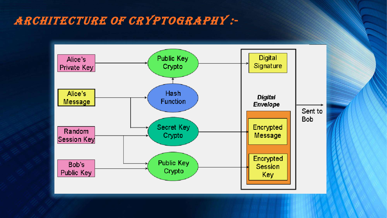### Architecture of cryptography :-

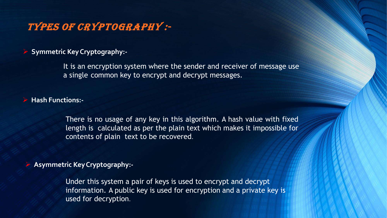#### Types of cryptography :-

➢ **Symmetric KeyCryptography:-**

It is an encryption system where the sender and receiver of message use a single common key to encrypt and decrypt messages.

➢ **Hash Functions:-**

There is no usage of any key in this algorithm. A hash value with fixed length is calculated as per the plain text which makes it impossible for contents of plain text to be recovered.

➢ **Asymmetric KeyCryptography:-**

Under this system a pair of keys is used to encrypt and decrypt information. A public key is used for encryption and a private key is used for decryption.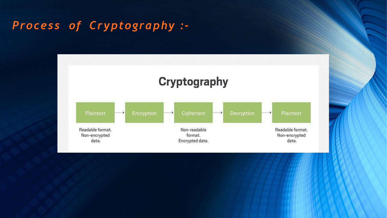### *Process of Cryptography :-*

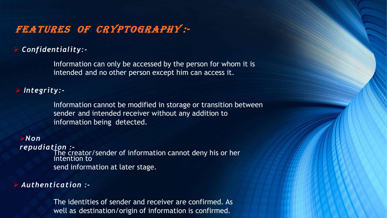#### Features of Cryptography :-

#### ➢ *Confidentiality:-*

Information can only be accessed by the person for whom it is intended and no other person except him can access it.

#### ➢ *Integrity:-*

Information cannot be modified in storage or transition between sender and intended receiver without any addition to information being detected.

#### ➢*Non*

*repudiation :-* The creator/sender of information cannot deny his or her intention to send information at later stage.

#### ➢ *Authentication :-*

The identities of sender and receiver are confirmed. As well as destination/origin of information is confirmed.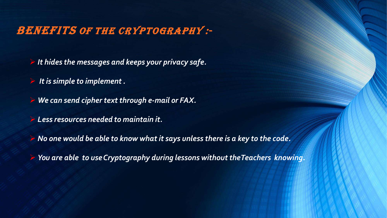### **BENEFITS OF THE CRYPTOGRAPHY :-**

➢ *It hides the messages and keeps your privacy safe.*

➢ *It is simple to implement.*

➢ *We can send cipher text through e-mail or FAX.*

➢ *Less resources needed to maintain it.*

➢ *No one would be able to know what it says unless there is a key to the code.*

➢ *You are able to useCryptography during lessons withouttheTeachers knowing.*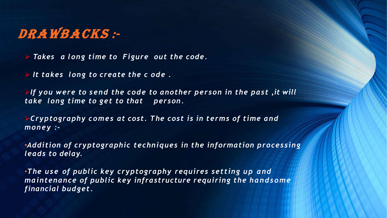# DRAWBACKS :-

➢ *Takes a long time to Figure out the code.*

➢ *It takes long to create the c ode .*

➢*If you were to send the code to another person in the past ,it will take long time to get to that person.*

➢*Cryptography comes at cost. The cost is in terms of time and money :-*

•*Addition of cryptographic techniques in the information processing leads to delay.*

•*The use of public key cryptography requires setting up and maintenance of public key infrastructure requiring the handsome financial budget.*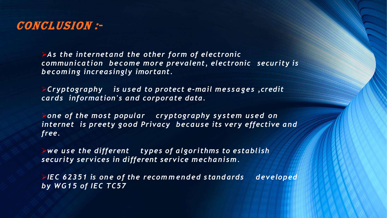

*security is communication become more prevalent, electronic*  ➢*As the internetand the other form of electronic becoming increasingly imortant.*

➢*Cryptography is used to protect e-mail messages ,credit cards information's and corporate data.*

➢*one of the most popular cryptography system used on internet is preety good Privacy because its very effective and free.*

➢*we use the different types of algorithms to establish security services in different service mechanism.*

➢*IEC 62351 is on e of the recom m ended s tandards developed by WG15 of IEC TC57*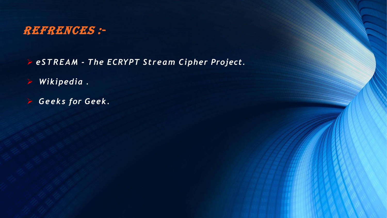

➢ *eSTREAM - The ECRYPT Stream Cipher Project.*

- ➢ *Wikipedia .*
- ➢ *Geeks for Geek.*